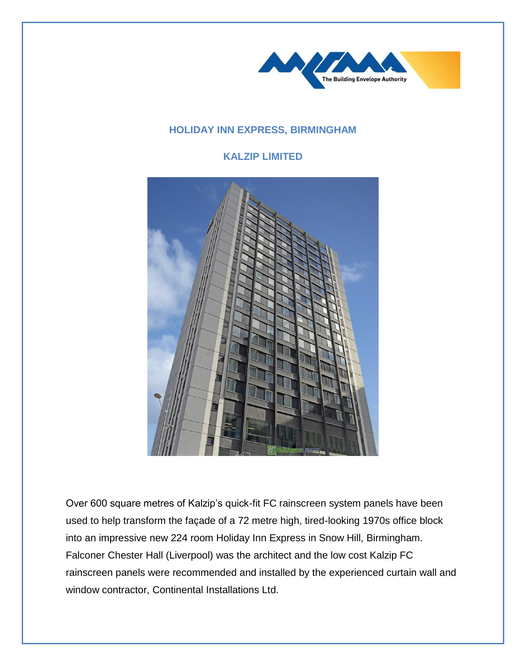

## **HOLIDAY INN EXPRESS, BIRMINGHAM**

## **KALZIP LIMITED**



Over 600 square metres of Kalzip's quick-fit FC rainscreen system panels have been used to help transform the façade of a 72 metre high, tired-looking 1970s office block into an impressive new 224 room Holiday Inn Express in Snow Hill, Birmingham. Falconer Chester Hall (Liverpool) was the architect and the low cost Kalzip FC rainscreen panels were recommended and installed by the experienced curtain wall and window contractor, Continental Installations Ltd.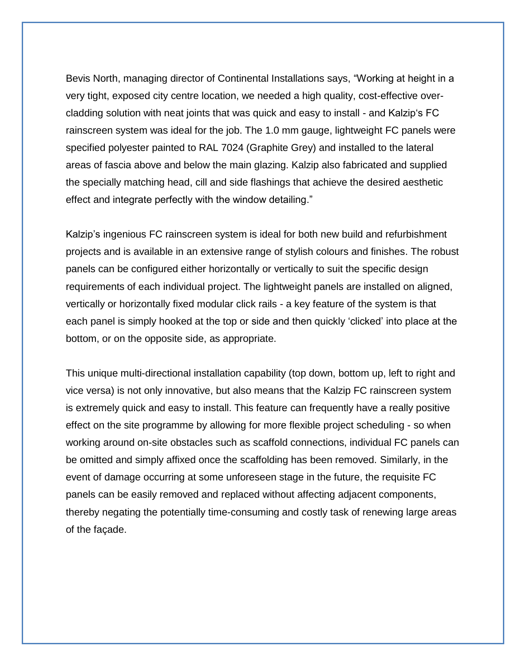Bevis North, managing director of Continental Installations says, "Working at height in a very tight, exposed city centre location, we needed a high quality, cost-effective overcladding solution with neat joints that was quick and easy to install - and Kalzip's FC rainscreen system was ideal for the job. The 1.0 mm gauge, lightweight FC panels were specified polyester painted to RAL 7024 (Graphite Grey) and installed to the lateral areas of fascia above and below the main glazing. Kalzip also fabricated and supplied the specially matching head, cill and side flashings that achieve the desired aesthetic effect and integrate perfectly with the window detailing."

Kalzip's ingenious FC rainscreen system is ideal for both new build and refurbishment projects and is available in an extensive range of stylish colours and finishes. The robust panels can be configured either horizontally or vertically to suit the specific design requirements of each individual project. The lightweight panels are installed on aligned, vertically or horizontally fixed modular click rails - a key feature of the system is that each panel is simply hooked at the top or side and then quickly 'clicked' into place at the bottom, or on the opposite side, as appropriate.

This unique multi-directional installation capability (top down, bottom up, left to right and vice versa) is not only innovative, but also means that the Kalzip FC rainscreen system is extremely quick and easy to install. This feature can frequently have a really positive effect on the site programme by allowing for more flexible project scheduling - so when working around on-site obstacles such as scaffold connections, individual FC panels can be omitted and simply affixed once the scaffolding has been removed. Similarly, in the event of damage occurring at some unforeseen stage in the future, the requisite FC panels can be easily removed and replaced without affecting adjacent components, thereby negating the potentially time-consuming and costly task of renewing large areas of the façade.